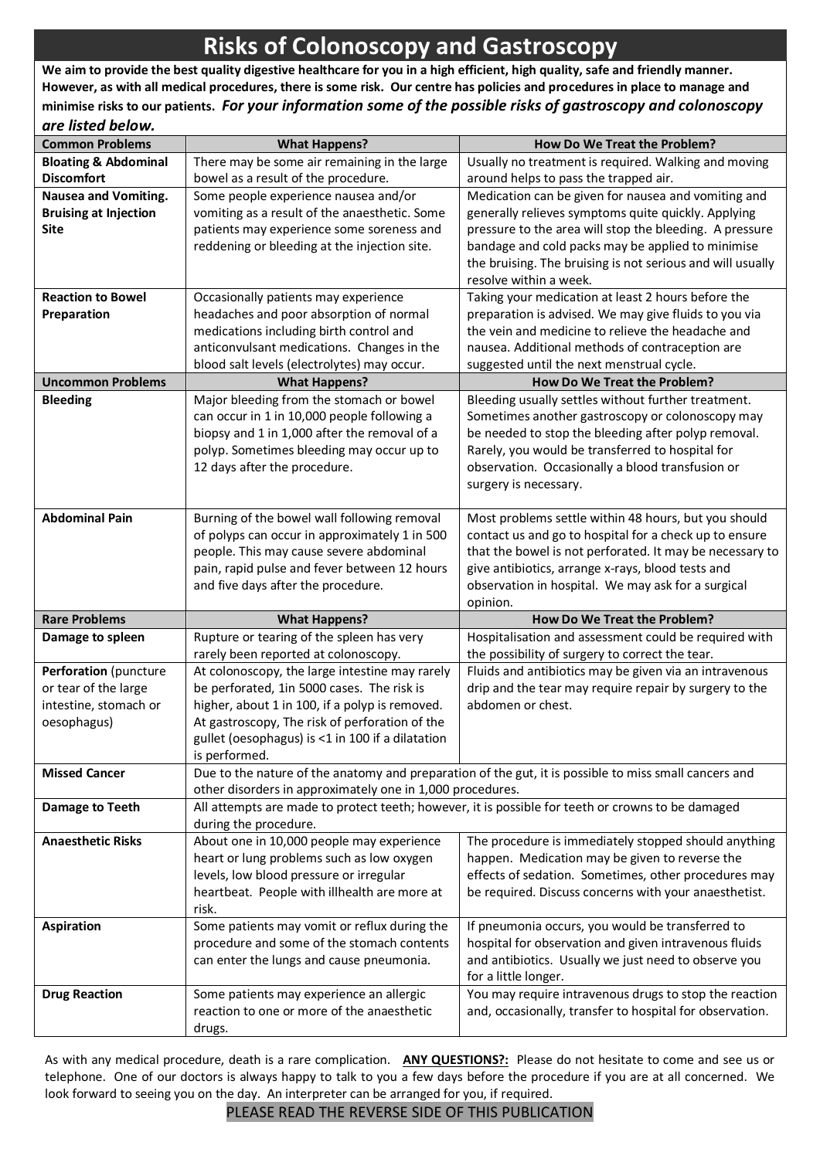# **Risks of Colonoscopy and Gastroscopy**

**We aim to provide the best quality digestive healthcare for you in a high efficient, high quality, safe and friendly manner. However, as with all medical procedures, there is some risk. Our centre has policies and procedures in place to manage and minimise risks to our patients.** *For your information some of the possible risks of gastroscopy and colonoscopy* 

| <b>Common Problems</b>          | <b>What Happens?</b>                                                                    | How Do We Treat the Problem?                                                                                  |
|---------------------------------|-----------------------------------------------------------------------------------------|---------------------------------------------------------------------------------------------------------------|
| <b>Bloating &amp; Abdominal</b> | There may be some air remaining in the large                                            | Usually no treatment is required. Walking and moving                                                          |
| <b>Discomfort</b>               | bowel as a result of the procedure.                                                     | around helps to pass the trapped air.                                                                         |
| <b>Nausea and Vomiting.</b>     | Some people experience nausea and/or                                                    | Medication can be given for nausea and vomiting and                                                           |
| <b>Bruising at Injection</b>    | vomiting as a result of the anaesthetic. Some                                           | generally relieves symptoms quite quickly. Applying                                                           |
| <b>Site</b>                     | patients may experience some soreness and                                               | pressure to the area will stop the bleeding. A pressure                                                       |
|                                 | reddening or bleeding at the injection site.                                            | bandage and cold packs may be applied to minimise                                                             |
|                                 |                                                                                         | the bruising. The bruising is not serious and will usually                                                    |
|                                 |                                                                                         | resolve within a week.                                                                                        |
| <b>Reaction to Bowel</b>        | Occasionally patients may experience                                                    | Taking your medication at least 2 hours before the                                                            |
| Preparation                     | headaches and poor absorption of normal                                                 | preparation is advised. We may give fluids to you via                                                         |
|                                 | medications including birth control and                                                 | the vein and medicine to relieve the headache and                                                             |
|                                 | anticonvulsant medications. Changes in the                                              | nausea. Additional methods of contraception are                                                               |
|                                 | blood salt levels (electrolytes) may occur.                                             | suggested until the next menstrual cycle.                                                                     |
| <b>Uncommon Problems</b>        | <b>What Happens?</b>                                                                    | How Do We Treat the Problem?                                                                                  |
| <b>Bleeding</b>                 | Major bleeding from the stomach or bowel                                                | Bleeding usually settles without further treatment.                                                           |
|                                 | can occur in 1 in 10,000 people following a                                             | Sometimes another gastroscopy or colonoscopy may                                                              |
|                                 | biopsy and 1 in 1,000 after the removal of a                                            | be needed to stop the bleeding after polyp removal.                                                           |
|                                 | polyp. Sometimes bleeding may occur up to                                               | Rarely, you would be transferred to hospital for                                                              |
|                                 | 12 days after the procedure.                                                            | observation. Occasionally a blood transfusion or                                                              |
|                                 |                                                                                         | surgery is necessary.                                                                                         |
|                                 |                                                                                         |                                                                                                               |
| <b>Abdominal Pain</b>           | Burning of the bowel wall following removal                                             | Most problems settle within 48 hours, but you should                                                          |
|                                 | of polyps can occur in approximately 1 in 500                                           | contact us and go to hospital for a check up to ensure                                                        |
|                                 | people. This may cause severe abdominal<br>pain, rapid pulse and fever between 12 hours | that the bowel is not perforated. It may be necessary to<br>give antibiotics, arrange x-rays, blood tests and |
|                                 | and five days after the procedure.                                                      | observation in hospital. We may ask for a surgical                                                            |
|                                 |                                                                                         | opinion.                                                                                                      |
| <b>Rare Problems</b>            | <b>What Happens?</b>                                                                    | How Do We Treat the Problem?                                                                                  |
| Damage to spleen                | Rupture or tearing of the spleen has very                                               | Hospitalisation and assessment could be required with                                                         |
|                                 | rarely been reported at colonoscopy.                                                    | the possibility of surgery to correct the tear.                                                               |
| Perforation (puncture           | At colonoscopy, the large intestine may rarely                                          | Fluids and antibiotics may be given via an intravenous                                                        |
| or tear of the large            | be perforated, 1in 5000 cases. The risk is                                              | drip and the tear may require repair by surgery to the                                                        |
| intestine, stomach or           | higher, about 1 in 100, if a polyp is removed.                                          | abdomen or chest.                                                                                             |
| oesophagus)                     | At gastroscopy, The risk of perforation of the                                          |                                                                                                               |
|                                 | gullet (oesophagus) is <1 in 100 if a dilatation                                        |                                                                                                               |
|                                 | is performed.                                                                           |                                                                                                               |
| <b>Missed Cancer</b>            |                                                                                         | Due to the nature of the anatomy and preparation of the gut, it is possible to miss small cancers and         |
|                                 | other disorders in approximately one in 1,000 procedures.                               |                                                                                                               |
| Damage to Teeth                 |                                                                                         | All attempts are made to protect teeth; however, it is possible for teeth or crowns to be damaged             |
|                                 | during the procedure.                                                                   |                                                                                                               |
| <b>Anaesthetic Risks</b>        | About one in 10,000 people may experience                                               | The procedure is immediately stopped should anything                                                          |
|                                 | heart or lung problems such as low oxygen                                               | happen. Medication may be given to reverse the                                                                |
|                                 | levels, low blood pressure or irregular                                                 | effects of sedation. Sometimes, other procedures may                                                          |
|                                 | heartbeat. People with illhealth are more at                                            | be required. Discuss concerns with your anaesthetist.                                                         |
|                                 | risk.                                                                                   |                                                                                                               |
| <b>Aspiration</b>               | Some patients may vomit or reflux during the                                            | If pneumonia occurs, you would be transferred to                                                              |
|                                 | procedure and some of the stomach contents                                              | hospital for observation and given intravenous fluids                                                         |
|                                 | can enter the lungs and cause pneumonia.                                                | and antibiotics. Usually we just need to observe you                                                          |
|                                 |                                                                                         | for a little longer.                                                                                          |
| <b>Drug Reaction</b>            | Some patients may experience an allergic                                                | You may require intravenous drugs to stop the reaction                                                        |
|                                 | reaction to one or more of the anaesthetic                                              | and, occasionally, transfer to hospital for observation.                                                      |
|                                 | drugs.                                                                                  |                                                                                                               |

As with any medical procedure, death is a rare complication. **ANY QUESTIONS?:** Please do not hesitate to come and see us or telephone. One of our doctors is always happy to talk to you a few days before the procedure if you are at all concerned. We look forward to seeing you on the day. An interpreter can be arranged for you, if required.

#### PLEASE READ THE REVERSE SIDE OF THIS PUBLICATION